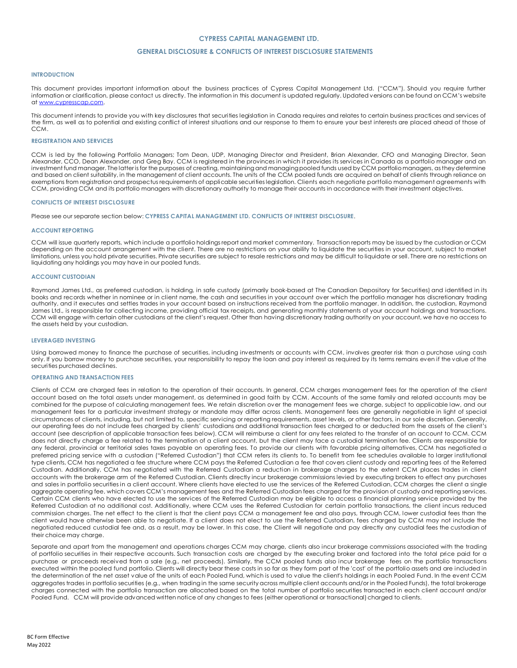## **CYPRESS CAPITAL MANAGEMENT LTD.**

## **GENERAL DISCLOSURE & CONFLICTS OF INTEREST DISCLOSURE STATEMENTS**

#### **INTRODUCTION**

This document provides important information about the business practices of Cypress Capital Management Ltd. ("CCM"). Should you require further information or clarification, please contact us directly. The information in this document is updated regularly. Updated versions can be found on CCM's website at <u>www.cypresscap.com</u>.

This document intends to provide you with key disclosures that securities legislation in Canada requires and relates to certain business practices and services of the firm, as well as to potential and existing conflict of interest situations and our response to them to ensure your best interests are placed ahead of those of CCM.

### **REGISTRATION AND SERVICES**

CCM is led by the following Portfolio Managers; Tom Dean, UDP, Managing Director and President, Brian Alexander, CFO and Managing Director, Sean Alexander, CCO, Dean Alexander, and Greg Bay. CCM is registered in the provinces in which it provides its services in Canada as a portfolio manager and an investment fund manager. The latter is for the purposes of creating, maintaining and managing pooled funds used by CCM portfolio managers, as they determine and based on client suitability, in the management of client accounts. The units of the CCM pooled funds are acquired on behalf of clients through reliance on exemptions from registration and prospectus requirements of applicable securities legislation. Clients each negotiate portfolio management agreements with CCM, providing CCM and its portfolio managers with discretionary authority to manage their accounts in accordance with their investment objectives.

### **CONFLICTS OF INTEREST DISCLOSURE**

Please see our separate section below: **CYPRESS CAPITAL MANAGEMENT LTD. CONFLICTS OF INTEREST DISCLOSURE**.

### **ACCOUNT REPORTING**

CCM will issue quarterly reports, which include a portfolio holdings report and market commentary. Transaction reports may be issued by the custodian or CCM depending on the account arrangement with the client. There are no restrictions on your ability to liquidate the securities in your account, subject to market limitations, unless you hold private securities. Private securities are subject to resale restrictions and may be difficult to liquidate or sell. There are no restrictions on liquidating any holdings you may have in our pooled funds.

### **ACCOUNT CUSTODIAN**

Raymond James Ltd., as preferred custodian, is holding, in safe custody (primarily book-based at The Canadian Depository for Securities) and identified in its books and records whether in nominee or in client name, the cash and securities in your account over which the portfolio manager has discretionary trading authority, and it executes and settles trades in your account based on instructions received from the portfolio manager. In addition, the custodian, Raymond James Ltd., is responsible for collecting income, providing official tax receipts, and generating monthly statements of your account holdings and transactions. CCM will engage with certain other custodians at the client's request. Other than having discretionary trading authority on your account, we have no access to the assets held by your custodian.

### **LEVERAGED INVESTING**

Using borrowed money to finance the purchase of securities, including investments or accounts with CCM, involves greater risk than a purchase using cash only. If you borrow money to purchase securities, your responsibility to repay the loan and pay interest as required by its terms remains even if the value of the securities purchased declines.

#### **OPERATING AND TRANSACTION FEES**

Clients of CCM are charged fees in relation to the operation of their accounts. In general, CCM charges management fees for the operation of the client account based on the total assets under management, as determined in good faith by CCM. Accounts of the same family and related accounts may be combined for the purpose of calculating management fees. We retain discretion over the management fees we charge, subject to applicable law, and our management fees for a particular investment strategy or mandate may differ across clients. Management fees are generally negotiable in light of special circumstances of clients, including, but not limited to, specific servicing or reporting requirements, asset levels, or other factors, in our sole discretion. Generally, our operating fees do not include fees charged by clients' custodians and additional transaction fees charged to or deducted from the assets of the client's account (see description of applicable transaction fees below). CCM will reimburse a client for any fees related to the transfer of an account to CCM. CCM does not directly charge a fee related to the termination of a client account, but the client may face a custodial termination fee. Clients are responsible for any federal, provincial or territorial sales taxes payable on operating fees. To provide our clients with favorable pricing alternatives, CCM has negotiated a preferred pricing service with a custodian ("Referred Custodian") that CCM refers its clients to. To benefit from fee schedules available to larger institutional type clients, CCM has negotiated a fee structure where CCM pays the Referred Custodian a fee that covers client custody and reporting fees of the Referred Custodian. Additionally, CCM has negotiated with the Referred Custodian a reduction in brokerage charges to the extent CCM places trades in client accounts with the brokerage arm of the Referred Custodian. Clients directly incur brokerage commissions levied by executing brokers to effect any purchases and sales in portfolio securities in a client account. Where clients have elected to use the services of the Referred Custodian, CCM charges the client a single aggregate operating fee, which covers CCM's management fees and the Referred Custodian fees charged for the provision of custody and reporting services. Certain CCM clients who have elected to use the services of the Referred Custodian may be eligible to access a financial planning service provided by the Referred Custodian at no additional cost. Additionally, where CCM uses the Referred Custodian for certain portfolio transactions, the client incurs reduced commission charges. The net effect to the client is that the client pays CCM a management fee and also pays, through CCM, lower custodial fees than the client would have otherwise been able to negotiate. If a client does not elect to use the Referred Custodian, fees charged by CCM may not include the negotiated reduced custodial fee and, as a result, may be lower. In this case, the Client will negotiate and pay directly any custodial fees the custodian of their choice may charge.

Separate and apart from the management and operations charges CCM may charge, clients also incur brokerage commissions associated with the trading of portfolio securities in their respective accounts. Such transaction costs are charged by the executing broker and factored into the total price paid for a purchase or proceeds received from a sale (e.g., net proceeds). Similarly, the CCM pooled funds also incur brokerage fees on the portfolio transactions executed within the pooled fund portfolio. Clients will directly bear these costs in so far as they form part of the 'cost' of the portfolio assets and are included in the determination of the net asset value of the units of each Pooled Fund, which is used to value the client's holdings in each Pooled Fund. In the event CCM aggregates trades in portfolio securities (e.g., when trading in the same security across multiple client accounts and/or in the Pooled Funds), the total brokerage charges connected with the portfolio transaction are allocated based on the total number of portfolio securities transacted in each client account and/or Pooled Fund. CCM will provide advanced written notice of any changes to fees (either operational or transactional) charged to clients.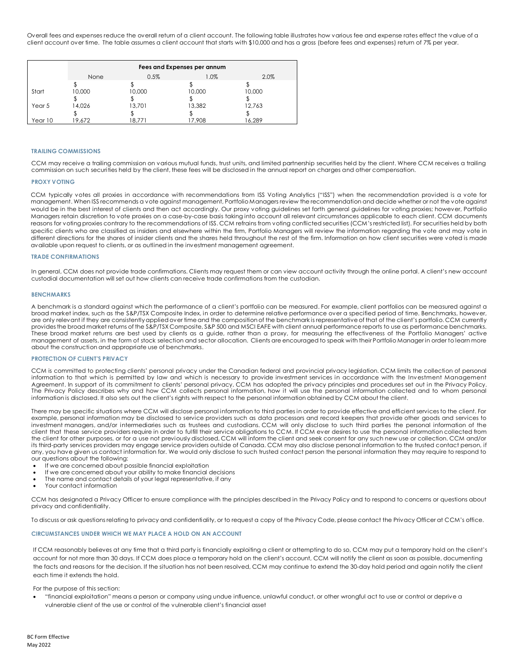Overall fees and expenses reduce the overall return of a client account. The following table illustrates how various fee and expense rates effect the value of a client account over time. The table assumes a client account that starts with \$10,000 and has a gross (before fees and expenses) return of 7% per year.

|         | Fees and Expenses per annum |        |         |        |
|---------|-----------------------------|--------|---------|--------|
|         | None                        | 0.5%   | $1.0\%$ | 2.0%   |
|         |                             |        |         |        |
| Start   | 10,000                      | 10,000 | 10,000  | 10,000 |
|         |                             |        |         |        |
| Year 5  | 14,026                      | 13,701 | 13,382  | 12,763 |
|         |                             |        |         |        |
| Year 10 | 19.672                      | 18.771 | 17.908  | 16.289 |

## **TRAILING COMMISSIONS**

CCM may receive a trailing commission on various mutual funds, trust units, and limited partnership securities held by the client. Where CCM receives a trailing commission on such securities held by the client, these fees will be disclosed in the annual report on charges and other compensation.

#### **PROXY VOTING**

CCM typically votes all proxies in accordance with recommendations from ISS Voting Analytics ("ISS") when the recommendation provided is a vote for management. When ISS recommends a vote against management, Portfolio Managers review the recommendation and decide whether or not the vote against would be in the best interest of clients and then act accordingly. Our proxy voting guidelines set forth general guidelines for voting proxies; however, Portfolio Managers retain discretion to vote proxies on a case-by-case basis taking into account all relevant circumstances applicable to each client. CCM documents reasons for voting proxies contrary to the recommendations of ISS. CCM refrains from voting conflicted securities (CCM's restricted list). For securities held by both specific clients who are classified as insiders and elsewhere within the firm, Portfolio Managers will review the information regarding the vote and may vote in different directions for the shares of insider clients and the shares held throughout the rest of the firm. Information on how client securities were voted is made available upon request to clients, or as outlined in the investment management agreement.

## **TRADE CONFIRMATIONS**

In general, CCM does not provide trade confirmations. Clients may request them or can view account activity through the online portal. A client's new account custodial documentation will set out how clients can receive trade confirmations from the custodian.

#### **BENCHMARKS**

A benchmark is a standard against which the performance of a client's portfolio can be measured. For example, client portfolios can be measured against a broad market index, such as the S&P/TSX Composite Index, in order to determine relative performance over a specified period of time. Benchmarks, however, are only relevant if they are consistently applied over time and the composition of the benchmark is representative of that of the client's portfolio. CCM currently providesthe broad market returns of the S&P/TSX Composite, S&P 500 and MSCI EAFE with client annual performance reports to use as performance benchmarks. These broad market returns are best used by clients as a guide, rather than a proxy, for measuring the effectiveness of the Portfolio Managers' active management of assets, in the form of stock selection and sector allocation. Clients are encouraged to speak with their Portfolio Manager in order to learn more about the construction and appropriate use of benchmarks.

## **PROTECTION OF CLIENT'S PRIVACY**

CCM is committed to protecting clients' personal privacy under the Canadian federal and provincial privacy legislation. CCM limits the collection of personal information to that which is permitted by law and which is necessary to provide investment services in accordance with the Inv estment Management Agreement. In support of its commitment to clients' personal privacy, CCM has adopted the privacy principles and procedures set out in the Privacy Policy. The Privacy Policy describes why and how CCM collects personal information, how it will use the personal information collected and to whom personal information is disclosed. It also sets out the client's rights with respect to the personal information obtained by CCM about the client.

There may be specific situations where CCM will disclose personal information to third parties in order to provide effective and efficient services to the client. For example, personal information may be disclosed to service providers such as data processors and record keepers that provide other goods and services to investment managers, and/or intermediaries such as trustees and custodians. CCM will only disclose to such third parties the personal information of the client that these service providers require in order to fulfill their service obligations to CCM. If CCM ever desires to use the personal information collected from the client for other purposes, or for a use not previously disclosed, CCM will inform the client and seek consent for any such new use or collection. CCM and/or its third-party services providers may engage service providers outside of Canada. CCM may also disclose personal information to the trusted contact person, if any, you have given us contact information for. We would only disclose to such trusted contact person the personal information they may require to respond to our questions about the following:

- If we are concerned about possible financial exploitation
- If we are concerned about your ability to make financial decisions
- The name and contact details of your legal representative, if any
- Your contact information

CCM has designated a Privacy Officer to ensure compliance with the principles described in the Privacy Policy and to respond to concerns or questions about privacy and confidentiality.

To discuss or ask questions relating to privacy and confidentiality, or to request a copy of the Privacy Code, please contact the Privacy Officer at CCM's office.

## **CIRCUMSTANCES UNDER WHICH WE MAY PLACE A HOLD ON AN ACCOUNT**

If CCM reasonably believes at any time that a third party is financially exploiting a client or attempting to do so, CCM may put a temporary hold on the client's account for not more than 30 days. If CCM does place a temporary hold on the client's account, CCM will notify the client as soon as possible, documenting the facts and reasons for the decision. If the situation has not been resolved, CCM may continue to extend the 30-day hold period and again notify the client each time it extends the hold.

### For the purpose of this section:

• "financial exploitation" means a person or company using undue influence, unlawful conduct, or other wrongful act to use or control or deprive a vulnerable client of the use or control of the vulnerable client's financial asset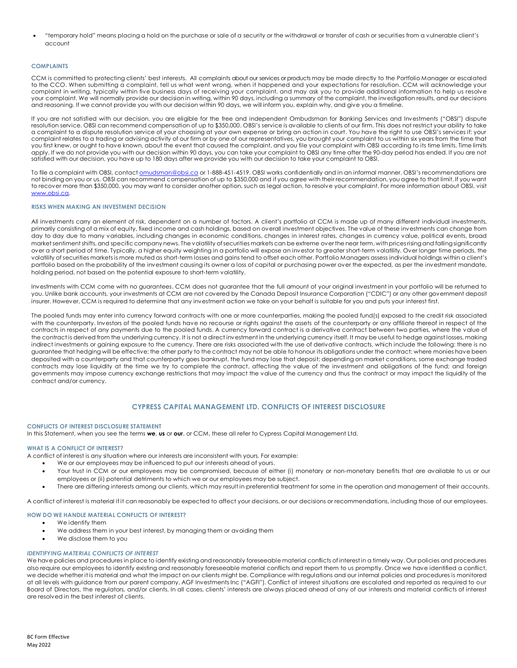• "temporary hold" means placing a hold on the purchase or sale of a security or the withdrawal or transfer of cash or securities from a vulnerable client's account

## **COMPLAINTS**

CCM is committed to protecting clients' best interests. All complaints about our services or products may be made directly to the Portfolio Manager or escalated to the CCO. When submitting a complaint, tell us what went wrong, when it happened and your expectations for resolution. CCM will acknowledge your complaint in writing, typically within five business days of receiving your complaint, and may ask you to provide additional information to help us resolve your complaint. We will normally provide our decision in writing, within 90 days, including a summary of the complaint, the investigation results, and our decisions and reasoning. If we cannot provide you with our decision within 90 days, we will inform you, explain why, and give you a timeline.

If you are not satisfied with our decision, you are eligible for the free and independent Ombudsman for Banking Services and Investments ("OBSI") dispute resolution service. OBSI can recommend compensation of up to \$350,000. OBSI's service is available to clients of our firm. This does not restrict your ability to take a complaint to a dispute resolution service of your choosing at your own expense or bring an action in court. You have the right to use OBSI's services if: your complaint relates to a trading or advising activity of our firm or by one of our representatives, you brought your complaint to us within six years from the time that you first knew, or ought to have known, about the event that caused the complaint, and you file your complaint with OBSI according to its time limits. Time limits apply. If we do not provide you with our decision within 90 days, you can take your complaint to OBSI any time after the 90-day period has ended. If you are not satisfied with our decision, you have up to 180 days after we provide you with our decision to take your complaint to OBSI.

To file a complaint with OBSI, contact <u>omudsman@obsi.ca</u> or 1-888-451-4519. OBSI works confidentially and in an informal manner. OBSI's recommendations are not binding on you or us. OBSI can recommend compensation of up to \$350,000 and if you agree with their recommendation, you agree to that limit. If you want to recover more than \$350,000, you may want to consider another option, such as legal action, to resolve your complaint. For more information about OBSI, visit [www.obsi.ca.](http://www.obsi.ca/)

#### **RISKS WHEN MAKING AN INVESTMENT DECISION**

All investments carry an element of risk, dependent on a number of factors. A client's portfolio at CCM is made up of many different individual investments, primarily consisting of a mix of equity, fixed income and cash holdings, based on overall investment objectives. The value of these investments can change from day to day due to many variables, including changes in economic conditions, changes in interest rates, changes in currency value, political events, broad market sentiment shifts, and specific company news. The volatility of securities markets can be extreme over the near term, with prices rising and falling significantly over a short period of time. Typically, a higher equity weighting in a portfolio will expose an investor to greater short-term volatility. Over longer time periods, the volatility of securities markets is more muted as short-term losses and gains tend to offset each other. Portfolio Managers assess individual holdings within a client's portfolio based on the probability of the investment causing its owner a loss of capital or purchasing power over the expected, as per the investment mandate, holding period, not based on the potential exposure to short-term volatility.

Investments with CCM come with no guarantees. CCM does not guarantee that the full amount of your original investment in your portfolio will be returned to you. Unlike bank accounts, your investments at CCM are not covered by the Canada Deposit Insurance Corporation ("CDIC") or any other government deposit insurer. However, CCM is required to determine that any investment action we take on your behalf is suitable for you and puts your interest first.

The pooled funds may enter into currency forward contracts with one or more counterparties, making the pooled fund(s) exposed to the credit risk associated with the counterparty. Investors of the pooled funds have no recourse or rights against the assets of the counterparty or any affiliate thereof in respect of the contracts in respect of any payments due to the pooled funds. A currency forward contract is a derivative contract between two parties, where the value of the contract is derived from the underlying currency. It is not a direct investment in the underlying currency itself. It may be useful to hedge against losses, making indirect investments or gaining exposure to the currency. There are risks associated with the use of derivative contracts, which include the following: there is no guarantee that hedging will be effective; the other party to the contract may not be able to honour its obligations under the contract; where monies have been deposited with a counterparty and that counterparty goes bankrupt, the fund may lose that deposit; depending on market conditions, some exchange traded contracts may lose liquidity at the time we try to complete the contract, affecting the value of the investment and obligations of the fund; and foreign governments may impose currency exchange restrictions that may impact the value of the currency and thus the contract or may impact the liquidity of the contract and/or currency.

## **CYPRESS CAPITAL MANAGEMENT LTD. CONFLICTS OF INTEREST DISCLOSURE**

#### **CONFLICTS OF INTEREST DISCLOSURE STATEMENT**

In this Statement, when you see the terms **we**, **us** or **our**, or CCM, these all refer to Cypress Capital Management Ltd.

## **WHAT IS A CONFLICT OF INTEREST?**

A conflict of interest is any situation where our interests are inconsistent with yours. For example:

- We or our employees may be influenced to put our interests ahead of yours.
- Your trust in CCM or our employees may be compromised, because of either (i) monetary or non-monetary benefits that are available to us or our employees or (ii) potential detriments to which we or our employees may be subject.
- There are differing interests among our clients, which may result in preferential treatment for some in the operation and management of their accounts.

A conflict of interest is material if it can reasonably be expected to affect your decisions, or our decisions or recommendations, including those of our employees.

#### **HOW DO WE HANDLE MATERIAL CONFLICTS OF INTEREST?**

We identify them

- We address them in your best interest, by managing them or avoiding them
- We disclose them to you

#### *IDENTIFYING MATERIAL CONFLICTS OF INTEREST*

We have policies and procedures in place to identify existing and reasonably foreseeable material conflicts of interest in a timely way. Our policies and procedures also require our employees to identify existing and reasonably foreseeable material conflicts and report them to us promptly. Once we have identified a conflict, we decide whether it is material and what the impact on our clients might be. Compliance with regulations and our internal policies and procedures is monitored at all levels with guidance from our parent company, AGF Investments Inc ("AGFI"). Conflict of interest situations are escalated and reported as required to our Board of Directors, the regulators, and/or clients. In all cases, clients' interests are always placed ahead of any of our interests and material conflicts of interest are resolved in the best interest of clients.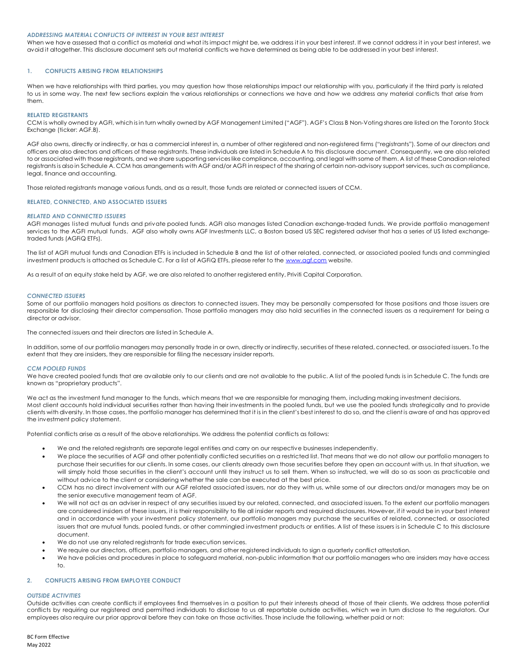#### *ADDRESSING MATERIAL CONFLICTS OF INTEREST IN YOUR BEST INTEREST*

When we have assessed that a conflict as material and what its impact might be, we address it in your best interest. If we cannot address it in your best interest, we avoid it altogether. This disclosure document sets out material conflicts we have determined as being able to be addressed in your best interest.

## **1. CONFLICTS ARISING FROM RELATIONSHIPS**

When we have relationships with third parties, you may question how those relationships impact our relationship with you, particularly if the third party is related to us in some way. The next few sections explain the various relationships or connections we have and how we address any material conflicts that arise from them.

### **RELATED REGISTRANTS**

CCM is wholly owned by AGFI, which is in turn wholly owned by AGF Management Limited ("AGF"). AGF's Class B Non-Voting shares are listed on the Toronto Stock Exchange (ticker: AGF.B).

AGF also owns, directly or indirectly, or has a commercial interest in, a number of other registered and non-registered firms ("registrants"). Some of our directors and officers are also directors and officers of these registrants. These individuals are listed in Schedule A to this disclosure document. Consequently, we are also related to or associated with those registrants, and we share supporting services like compliance, accounting, and legal with some of them. A list of these Canadian related registrants is also in Schedule A. CCM has arrangements with AGF and/or AGFI in respect of the sharing of certain non-advisory support services, such as compliance, legal, finance and accounting.

Those related registrants manage various funds, and as a result, those funds are related or connected issuers of CCM.

### **RELATED, CONNECTED, AND ASSOCIATED ISSUERS**

## *RELATED AND CONNECTED ISSUERS*

AGFI manages listed mutual funds and private pooled funds. AGFI also manages listed Canadian exchange-traded funds. We provide portfolio management services to the AGFI mutual funds. AGF also wholly owns AGF Investments LLC, a Boston based US SEC registered adviser that has a series of US listed exchangetraded funds (AGFiQ ETFs).

The list of AGFI mutual funds and Canadian ETFs is included in Schedule B and the list of other related, connected, or associated pooled funds and commingled investment products is attached as Schedule C. For a list of AGFiQ ETFs, please refer to the [www.agf.com](http://www.agf.com/) website.

As a result of an equity stake held by AGF, we are also related to another registered entity, Priviti Capital Corporation.

#### *CONNECTED ISSUERS*

Some of our portfolio managers hold positions as directors to connected issuers. They may be personally compensated for those positions and those issuers are responsible for disclosing their director compensation. Those portfolio managers may also hold securities in the connected issuers as a requirement for being a director or advisor.

The connected issuers and their directors are listed in Schedule A.

In addition, some of our portfolio managers may personally trade in or own, directly or indirectly, securities of these related, connected, or associated issuers. To the extent that they are insiders, they are responsible for filing the necessary insider reports.

#### *CCM POOLED FUNDS*

We have created pooled funds that are available only to our clients and are not available to the public. A list of the pooled funds is in Schedule C. The funds are known as "proprietary products".

We act as the investment fund manager to the funds, which means that we are responsible for managing them, including making investment decisions. Most client accounts hold individual securities rather than having their investments in the pooled funds, but we use the pooled funds strategically and to provide clients with diversity. In those cases, the portfolio manager has determined that it is in the client's best interest to do so, and the client is aware of and has approved the investment policy statement.

Potential conflicts arise as a result of the above relationships. We address the potential conflicts as follows:

- We and the related registrants are separate legal entities and carry on our respective businesses independently.
- We place the securities of AGF and other potentially conflicted securities on a restricted list. That means that we do not allow our portfolio managers to purchase their securities for our clients. In some cases, our clients already own those securities before they open an account with us. In that situation, we will simply hold those securities in the client's account until they instruct us to sell them. When so instructed, we will do so as soon as practicable and without advice to the client or considering whether the sale can be executed at the best price.
- CCM has no direct involvement with our AGF related associated issuers, nor do they with us, while some of our directors and/or managers may be on the senior executive management team of AGF.
- We will not act as an adviser in respect of any securities issued by our related, connected, and associated issuers. To the extent our portfolio managers are considered insiders of these issuers, it is their responsibility to file all insider reports and required disclosures. However, if it would be in your best interest and in accordance with your investment policy statement, our portfolio managers may purchase the securities of related, connected, or associated issuers that are mutual funds, pooled funds, or other commingled investment products or entities. A list of these issuers is in Schedule C to this disclosure document.
- We do not use any related registrants for trade execution services.
- We require our directors, officers, portfolio managers, and other registered individuals to sign a quarterly conflict attestation.
- We have policies and procedures in place to safeguard material, non-public information that our portfolio managers who are insiders may have access to.

## **2. CONFLICTS ARISING FROM EMPLOYEE CONDUCT**

#### *OUTSIDE ACTIVITIES*

Outside activities can create conflicts if employees find themselves in a position to put their interests ahead of those of their clients. We address those potential conflicts by requiring our registered and permitted individuals to disclose to us all reportable outside activities, which we in turn disclose to the regulators. Our employees also require our prior approval before they can take on those activities. Those include the following, whether paid or not: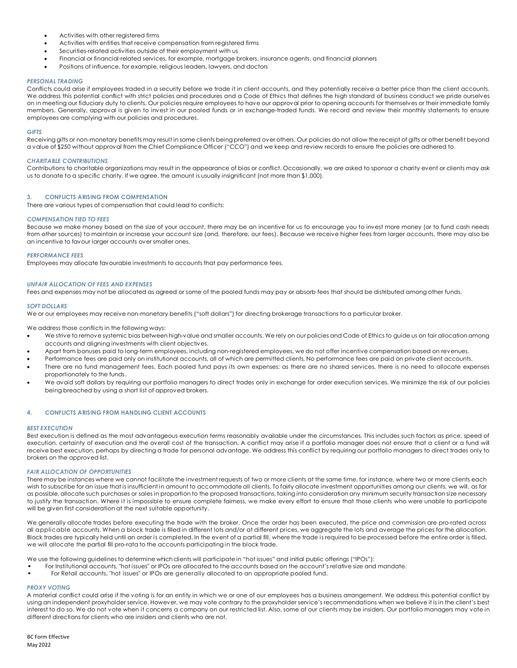- Activities with other registered firms
- Activities with entities that receive compensation from registered firms
- Securities-related activities outside of their employment with us
- Financial or financial-related services, for example, mortgage brokers, insurance agents, and financial planners
- Positions of influence, for example, religious leaders, lawyers, and doctors

#### *PERSONAL TRADING*

Conflicts could arise if employees traded in a security before we trade it in client accounts, and they potentially receive a better price than the client accounts. We address this potential conflict with strict policies and procedures and a Code of Ethics that defines the high standard of business conduct we pride ourselves on in meeting our fiduciary duty to clients. Our policies require employees to have our approval prior to opening accounts for themselves or their immediate family members. Generally, approval is given to invest in our pooled funds or in exchange-traded funds. We record and review their monthly statements to ensure employees are complying with our policies and procedures.

#### *GIFTS*

Receiving gifts or non-monetary benefits may result in some clients being preferred over others. Our policies do not allow the receipt of gifts or other benefit beyond a value of \$250 without approval from the Chief Compliance Officer ("CCO") and we keep and review records to ensure the policies are adhered to.

### *CHARITABLE CONTRIBUTIONS*

Contributions to charitable organizations may result in the appearance of bias or conflict. Occasionally, we are asked to sponsor a charity event or clients may ask us to donate to a specific charity. If we agree, the amount is usually insignificant (not more than \$1,000).

### **3. CONFLICTS ARISING FROM COMPENSATION**

There are various types of compensation that could lead to conflicts:

### *COMPENSATION TIED TO FEES*

Because we make money based on the size of your account, there may be an incentive for us to encourage you to invest more money (or to fund cash needs from other sources) to maintain or increase your account size (and, therefore, our fees). Because we receive higher fees from larger accounts, there may also be an incentive to favour larger accounts over smaller ones.

### *PERFORMANCE FEES*

Employees may allocate favourable investments to accounts that pay performance fees.

### *UNFAIR ALLOCATION OF FEES AND EXPENSES*

Fees and expenses may not be allocated as agreed or some of the pooled funds may pay or absorb fees that should be distributed among other funds.

#### *SOFT DOLLARS*

We or our employees may receive non-monetary benefits ("soft dollars") for directing brokerage transactions to a particular broker.

We address those conflicts in the following ways:

- We strive to remove systemic bias between high-value and smaller accounts. We rely on our policies and Code of Ethics to guide us on fair allocation among accounts and aligning investments with client objectives.
- Apart from bonuses paid to long-term employees, including non-registered employees, we do not offer incentive compensation based on revenues.
- Performance fees are paid only on institutional accounts, all of which are permitted clients. No performance fees are paid on private client accounts.
- There are no fund management fees. Each pooled fund pays its own expenses; as there are no shared services, there is no need to allocate expenses proportionately to the funds.
- We avoid soft dollars by requiring our portfolio managers to direct trades only in exchange for order execution services. We minimize the risk of our policies being breached by using a short list of approved brokers.

## **4. CONFLICTS ARISING FROM HANDLING CLIENT ACCOUNTS**

#### *BEST EXECUTION*

Best execution is defined as the most advantageous execution terms reasonably available under the circumstances. This includes such factors as price, speed of execution, certainty of execution and the overall cost of the transaction. A conflict may arise if a portfolio manager does not ensure that a client or a fund will receive best execution, perhaps by directing a trade for personal advantage. We address this conflict by requiring our portfolio managers to direct trades only to brokers on the approved list.

## *FAIR ALLOCATION OF OPPORTUNITIES*

There may be instances where we cannot facilitate the investment requests of two or more clients at the same time, for instance, where two or more clients each wish to subscribe for an issue that is insufficient in amount to accommodate all clients. To fairly allocate investment opportunities among our clients, we will, as far as possible, allocate such purchases or sales in proportion to the proposed transactions, taking into consideration any minimum security transaction size necessary to justify the transaction. Where it is impossible to ensure complete fairness, we make every effort to ensure that those clients who were unable to participate will be given first consideration at the next suitable opportunity.

We generally allocate trades before executing the trade with the broker. Once the order has been executed, the price and commission are pro-rated across all applicable accounts. When a block trade is filled in different lots and/or at different prices, we aggregate the lots and average the prices for the allocation. Block trades are typically held until an order is completed. In the event of a partial fill, where the trade is required to be processed before the entire order is filled, we will allocate the partial fill pro-rata to the accounts participatingin the block trade.

We use the following guidelines to determine which clients will participate in "hot issues" and initial public offerings ("IPOs"):

- For Institutional accounts, "hot issues" or IPOs are allocated to the accounts based on the account's relative size and mandate.<br>• For Retail accounts "hot issues" or IPOs are generally allocated to an appropriate pooled
- For Retail accounts, "hot issues" or IPOs are generally allocated to an appropriate pooled fund.

## *PROXY VOTING*

A material conflict could arise if the voting is for an entity in which we or one of our employees has a business arrangement. We address this potential conflict by using an independent proxyholder service. However, we may vote contrary to the proxyholder service's recommendations when we believe it is in the client's best interest to do so. We do not vote when it concerns a company on our restricted list. Also, some of our clients may be insiders. Our portfolio managers may vote in different directions for clients who are insiders and clients who are not.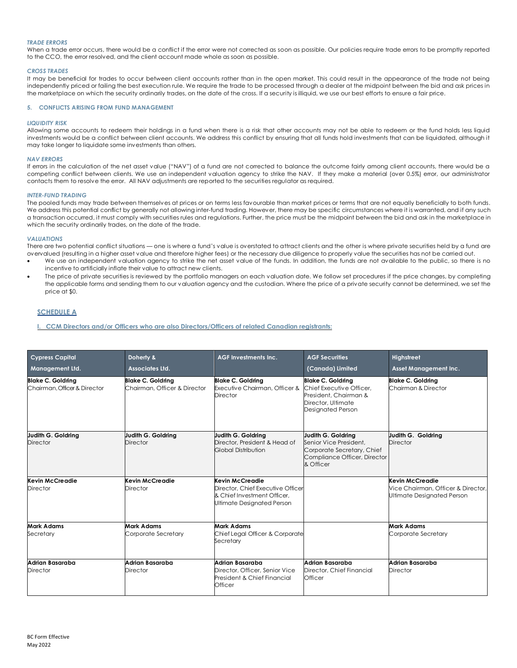## *TRADE ERRORS*

When a trade error occurs, there would be a conflict if the error were not corrected as soon as possible. Our policies require trade errors to be promptly reported to the CCO, the error resolved, and the client account made whole as soon as possible.

#### *CROSS TRADES*

It may be beneficial for trades to occur between client accounts rather than in the open market. This could result in the appearance of the trade not being independently priced or failing the best execution rule. We require the trade to be processed through a dealer at the midpoint between the bid and ask prices in the marketplace on which the security ordinarily trades, on the date of the cross. If a security is illiquid, we use our best efforts to ensure a fair price.

## **5. CONFLICTS ARISING FROM FUND MANAGEMENT**

#### *LIQUIDITY RISK*

Allowing some accounts to redeem their holdings in a fund when there is a risk that other accounts may not be able to redeem or the fund holds less liquid investments would be a conflict between client accounts. We address this conflict by ensuring that all funds hold investments that can be liquidated, although it may take longer to liquidate some investments than others.

### *NAV ERRORS*

If errors in the calculation of the net asset value ("NAV") of a fund are not corrected to balance the outcome fairly among client accounts, there would be a competing conflict between clients. We use an independent valuation agency to strike the NAV. If they make a material (over 0.5%) error, our administrator contacts them to resolve the error. All NAV adjustments are reported to the securities regulator as required.

#### *INTER-FUND TRADING*

The pooled funds may trade between themselves at prices or on terms less favourable than market prices or terms that are not equally beneficially to both funds. We address this potential conflict by generally not allowing inter-fund trading. However, there may be specific circumstances where it is warranted, and if any such a transaction occurred, it must comply with securities rules and regulations. Further, the price must be the midpoint between the bid and ask in the marketplace in which the security ordinarily trades, on the date of the trade.

## *VALUATIONS*

There are two potential conflict situations — one is where a fund's value is overstated to attract clients and the other is where private securities held by a fund are overvalued (resulting in a higher asset value and therefore higher fees) or the necessary due diligence to properly value the securities has not be carried out.

- We use an independent valuation agency to strike the net asset value of the funds. In addition, the funds are not available to the public, so there is no incentive to artificially inflate their value to attract new clients.
- The price of private securities is reviewed by the portfolio managers on each valuation date. We follow set procedures if the price changes, by completing the applicable forms and sending them to our valuation agency and the custodian. Where the price of a private security cannot be determined, we set the price at \$0.

## **SCHEDULE A**

**I. CCM Directors and/or Officers who are also Directors/Officers of related Canadian registrants:** 

| <b>Cypress Capital</b><br><b>Management Ltd.</b>         | Doherty &<br>Associates Ltd.                             | <b>AGF Investments Inc.</b>                                                                                       | <b>AGF Securities</b><br>(Canada) Limited                                                                                | Highstreet<br><b>Asset Management Inc.</b>                                          |
|----------------------------------------------------------|----------------------------------------------------------|-------------------------------------------------------------------------------------------------------------------|--------------------------------------------------------------------------------------------------------------------------|-------------------------------------------------------------------------------------|
| <b>Blake C. Goldring</b><br>Chairman, Officer & Director | <b>Blake C. Goldring</b><br>Chairman, Officer & Director | <b>Blake C. Goldring</b><br>Executive Chairman, Officer &<br><b>Director</b>                                      | <b>Blake C. Goldring</b><br>Chief Executive Officer.<br>President, Chairman &<br>Director, Ultimate<br>Designated Person | <b>Blake C. Goldring</b><br>Chairman & Director                                     |
| Judith G. Goldring<br><b>Director</b>                    | Judith G. Goldring<br>Director                           | Judith G. Goldrina<br>Director, President & Head of<br>Global Distribution                                        | Judith G. Goldring<br>Senior Vice President.<br>Corporate Secretary, Chief<br>Compliance Officer, Director<br>& Officer  | Judith G. Goldring<br>Director                                                      |
| Kevin McCreadie<br>Director                              | Kevin McCreadie<br>Director                              | Kevin McCreadie<br>Director, Chief Executive Officer<br>& Chief Investment Officer.<br>Ultimate Designated Person |                                                                                                                          | Kevin McCreadie<br>Vice Chairman, Officer & Director,<br>Ultimate Designated Person |
| <b>Mark Adams</b><br>Secretary                           | Mark Adams<br>Corporate Secretary                        | <b>Mark Adams</b><br>Chief Legal Officer & Corporate<br>Secretary                                                 |                                                                                                                          | <b>Mark Adams</b><br>Corporate Secretary                                            |
| Adrian Basaraba<br><b>Director</b>                       | Adrian Basaraba<br><b>Director</b>                       | Adrian Basaraba<br>Director, Officer, Senior Vice<br>President & Chief Financial<br>Officer                       | Adrian Basaraba<br>Director, Chief Financial<br>Officer                                                                  | Adrian Basaraba<br><b>Director</b>                                                  |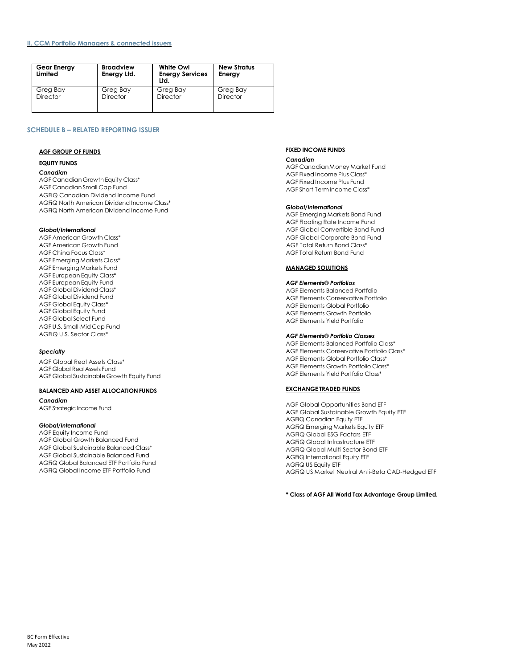## **II. CCM Portfolio Managers & connected issuers**

| <b>Gear Energy</b><br>Limited | <b>Broadview</b><br>Energy Ltd. | White Owl<br><b>Energy Services</b><br>Ltd. | <b>New Stratus</b><br>Energy |
|-------------------------------|---------------------------------|---------------------------------------------|------------------------------|
| Greg Bay                      | Greg Bay                        | Greg Bay                                    | Greg Bay                     |
| <b>Director</b>               | Director                        | <b>Director</b>                             | Director                     |

# **SCHEDULE B – RELATED REPORTING ISSUER**

### **AGF GROUP OF FUNDS**

## **EQUITY FUNDS**

#### *Canadian*

AGF Canadian Growth Equity Class\* AGF Canadian Small Cap Fund AGFiQ Canadian Dividend Income Fund AGFiQ North American Dividend Income Class\* AGFiQ North American Dividend Income Fund

## *Global/International*

AGF American Growth Class\* AGF American Growth Fund AGF China Focus Class\* AGF Emerging Markets Class\* AGF Emerging Markets Fund AGF European Equity Class\* AGF European Equity Fund AGF Global Dividend Class\* AGF Global Dividend Fund AGF Global Equity Class\* AGF Global Equity Fund AGF Global Select Fund AGF U.S. Small-Mid Cap Fund AGFiQ U.S. Sector Class\*

### *Specialty*

AGF Global Real Assets Class\* AGF Global Real Assets Fund AGF Global Sustainable Growth Equity Fund

## **BALANCED AND ASSET ALLOCATION FUNDS**

*Canadian* AGF Strategic Income Fund

## *Global/International*

AGF Equity Income Fund AGF Global Growth Balanced Fund AGF Global Sustainable Balanced Class\* AGF Global Sustainable Balanced Fund AGFiQ Global Balanced ETF Portfolio Fund AGFiQ Global Income ETF Portfolio Fund

## **FIXED INCOME FUNDS**

#### *Canadian*

AGF CanadianMoney Market Fund AGF Fixed Income Plus Class\* AGF Fixed Income Plus Fund AGF Short-TermIncome Class\*

#### *Global/International*

AGF Emerging Markets Bond Fund AGF Floating Rate Income Fund AGF Global Convertible Bond Fund AGF Global Corporate Bond Fund AGF Total Return Bond Class\* AGF Total Return Bond Fund

## **MANAGED SOLUTIONS**

## *AGF Elements® Portfolios*

AGF Elements Balanced Portfolio AGF Elements Conservative Portfolio AGF Elements Global Portfolio AGF Elements Growth Portfolio AGF Elements Yield Portfolio

### *AGF Elements® Portfolio Classes*

AGF Elements Balanced Portfolio Class\* AGF Elements Conservative Portfolio Class\* AGF Elements Global Portfolio Class\* AGF Elements Growth Portfolio Class\* AGF Elements Yield Portfolio Class\*

#### **EXCHANGE TRADED FUNDS**

AGF Global Opportunities Bond ETF AGF Global Sustainable Growth Equity ETF AGFiQ Canadian Equity ETF AGFiQ Emerging Markets Equity ETF AGFiQ Global ESG Factors ETF AGFiQ Global Infrastructure ETF AGFiQ Global Multi-Sector Bond ETF AGFiQ International Equity ETF AGFiQ US Equity ETF AGFiQ US Market Neutral Anti-Beta CAD-Hedged ETF

**\* Class of AGF All World Tax Advantage Group Limited.**